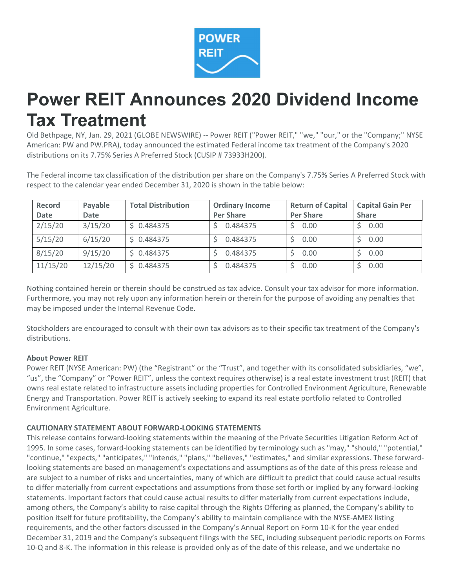

## Power REIT Announces 2020 Dividend Income Tax Treatment

Old Bethpage, NY, Jan. 29, 2021 (GLOBE NEWSWIRE) -- Power REIT ("Power REIT," "we," "our," or the "Company;" NYSE American: PW and PW.PRA), today announced the estimated Federal income tax treatment of the Company's 2020 distributions on its 7.75% Series A Preferred Stock (CUSIP # 73933H200).

The Federal income tax classification of the distribution per share on the Company's 7.75% Series A Preferred Stock with respect to the calendar year ended December 31, 2020 is shown in the table below:

| <b>Record</b><br><b>Date</b> | Payable<br>Date | <b>Total Distribution</b> | <b>Ordinary Income</b><br><b>Per Share</b> | <b>Return of Capital</b><br><b>Per Share</b> | <b>Capital Gain Per</b><br><b>Share</b> |
|------------------------------|-----------------|---------------------------|--------------------------------------------|----------------------------------------------|-----------------------------------------|
| 2/15/20                      | 3/15/20         | \$0.484375                | 0.484375                                   | 0.00                                         | 0.00                                    |
| 5/15/20                      | 6/15/20         | \$0.484375                | 0.484375                                   | 0.00                                         | 0.00                                    |
| 8/15/20                      | 9/15/20         | \$0.484375                | 0.484375                                   | 0.00                                         | 0.00                                    |
| 11/15/20                     | 12/15/20        | \$0.484375                | 0.484375                                   | 0.00                                         | 0.00                                    |

Nothing contained herein or therein should be construed as tax advice. Consult your tax advisor for more information. Furthermore, you may not rely upon any information herein or therein for the purpose of avoiding any penalties that may be imposed under the Internal Revenue Code.

Stockholders are encouraged to consult with their own tax advisors as to their specific tax treatment of the Company's distributions.

## About Power REIT

Power REIT (NYSE American: PW) (the "Registrant" or the "Trust", and together with its consolidated subsidiaries, "we", "us", the "Company" or "Power REIT", unless the context requires otherwise) is a real estate investment trust (REIT) that owns real estate related to infrastructure assets including properties for Controlled Environment Agriculture, Renewable Energy and Transportation. Power REIT is actively seeking to expand its real estate portfolio related to Controlled Environment Agriculture.

## CAUTIONARY STATEMENT ABOUT FORWARD-LOOKING STATEMENTS

This release contains forward-looking statements within the meaning of the Private Securities Litigation Reform Act of 1995. In some cases, forward-looking statements can be identified by terminology such as "may," "should," "potential," "continue," "expects," "anticipates," "intends," "plans," "believes," "estimates," and similar expressions. These forwardlooking statements are based on management's expectations and assumptions as of the date of this press release and are subject to a number of risks and uncertainties, many of which are difficult to predict that could cause actual results to differ materially from current expectations and assumptions from those set forth or implied by any forward-looking statements. Important factors that could cause actual results to differ materially from current expectations include, among others, the Company's ability to raise capital through the Rights Offering as planned, the Company's ability to position itself for future profitability, the Company's ability to maintain compliance with the NYSE-AMEX listing requirements, and the other factors discussed in the Company's Annual Report on Form 10-K for the year ended December 31, 2019 and the Company's subsequent filings with the SEC, including subsequent periodic reports on Forms 10-Q and 8-K. The information in this release is provided only as of the date of this release, and we undertake no